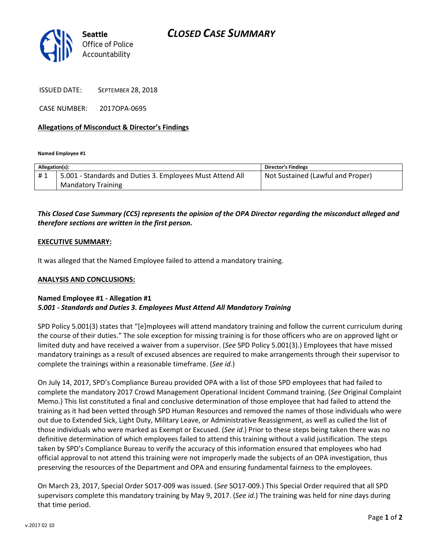

ISSUED DATE: SEPTEMBER 28, 2018

CASE NUMBER: 2017OPA-0695

### Allegations of Misconduct & Director's Findings

Named Employee #1

| Allegation(s): |                                                           | <b>Director's Findings</b>        |
|----------------|-----------------------------------------------------------|-----------------------------------|
| #1             | 5.001 - Standards and Duties 3. Employees Must Attend All | Not Sustained (Lawful and Proper) |
|                | <b>Mandatory Training</b>                                 |                                   |

# This Closed Case Summary (CCS) represents the opinion of the OPA Director regarding the misconduct alleged and therefore sections are written in the first person.

#### EXECUTIVE SUMMARY:

It was alleged that the Named Employee failed to attend a mandatory training.

#### ANALYSIS AND CONCLUSIONS:

## Named Employee #1 - Allegation #1 5.001 - Standards and Duties 3. Employees Must Attend All Mandatory Training

SPD Policy 5.001(3) states that "[e]mployees will attend mandatory training and follow the current curriculum during the course of their duties." The sole exception for missing training is for those officers who are on approved light or limited duty and have received a waiver from a supervisor. (See SPD Policy 5.001(3).) Employees that have missed mandatory trainings as a result of excused absences are required to make arrangements through their supervisor to complete the trainings within a reasonable timeframe. (See id.)

On July 14, 2017, SPD's Compliance Bureau provided OPA with a list of those SPD employees that had failed to complete the mandatory 2017 Crowd Management Operational Incident Command training. (See Original Complaint Memo.) This list constituted a final and conclusive determination of those employee that had failed to attend the training as it had been vetted through SPD Human Resources and removed the names of those individuals who were out due to Extended Sick, Light Duty, Military Leave, or Administrative Reassignment, as well as culled the list of those individuals who were marked as Exempt or Excused. (See id.) Prior to these steps being taken there was no definitive determination of which employees failed to attend this training without a valid justification. The steps taken by SPD's Compliance Bureau to verify the accuracy of this information ensured that employees who had official approval to not attend this training were not improperly made the subjects of an OPA investigation, thus preserving the resources of the Department and OPA and ensuring fundamental fairness to the employees.

On March 23, 2017, Special Order SO17-009 was issued. (See SO17-009.) This Special Order required that all SPD supervisors complete this mandatory training by May 9, 2017. (See id.) The training was held for nine days during that time period.